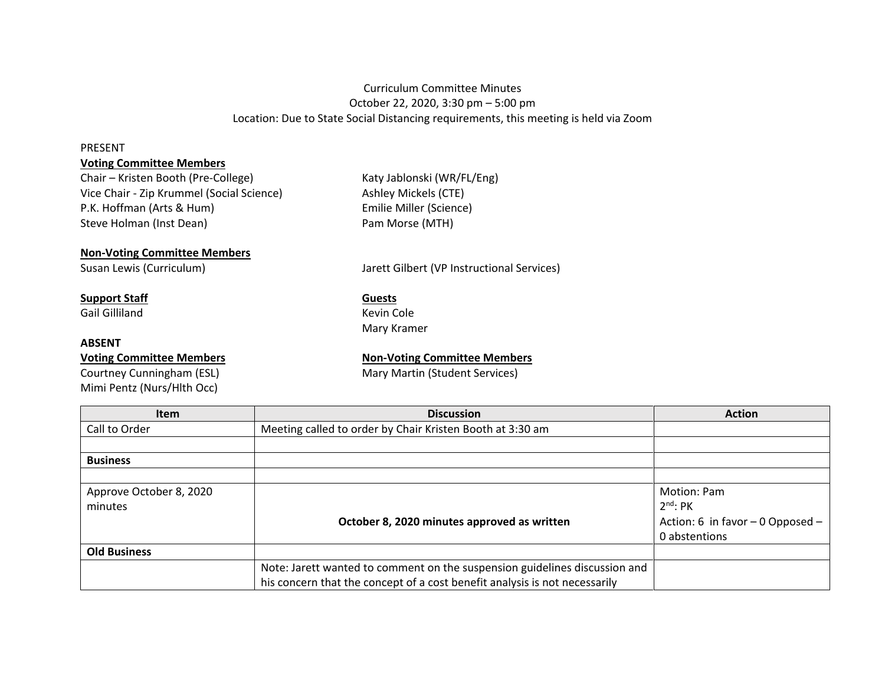# Curriculum Committee Minutes October 22, 2020, 3:30 pm – 5:00 pm Location: Due to State Social Distancing requirements, this meeting is held via Zoom

#### PRESENT

## **Voting Committee Members**

Chair – Kristen Booth (Pre-College) Katy Jablonski (WR/FL/Eng) Vice Chair - Zip Krummel (Social Science) Ashley Mickels (CTE) P.K. Hoffman (Arts & Hum) Emilie Miller (Science) Steve Holman (Inst Dean) Steve Holman (Inst Dean)

### **Non-Voting Committee Members**

## **Support Staff Guests**

Gail Gilliland **Kevin Cole** 

#### **ABSENT**

Courtney Cunningham (ESL) Mary Martin (Student Services) Mimi Pentz (Nurs/Hlth Occ)

Susan Lewis (Curriculum) Jarett Gilbert (VP Instructional Services)

Mary Kramer

## **Voting Committee Members Non-Voting Committee Members**

| <b>Item</b>             | <b>Discussion</b>                                                          | <b>Action</b>                       |
|-------------------------|----------------------------------------------------------------------------|-------------------------------------|
| Call to Order           | Meeting called to order by Chair Kristen Booth at 3:30 am                  |                                     |
|                         |                                                                            |                                     |
| <b>Business</b>         |                                                                            |                                     |
|                         |                                                                            |                                     |
| Approve October 8, 2020 |                                                                            | Motion: Pam                         |
| minutes                 |                                                                            | $2^{nd}$ : PK                       |
|                         | October 8, 2020 minutes approved as written                                | Action: 6 in favor $-0$ Opposed $-$ |
|                         |                                                                            | 0 abstentions                       |
| <b>Old Business</b>     |                                                                            |                                     |
|                         | Note: Jarett wanted to comment on the suspension guidelines discussion and |                                     |
|                         | his concern that the concept of a cost benefit analysis is not necessarily |                                     |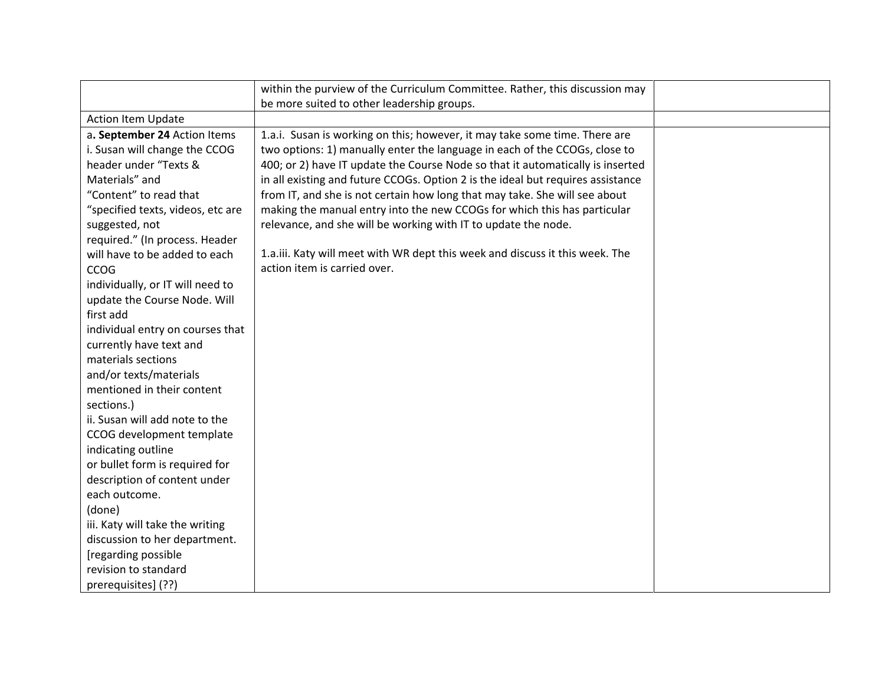|                                   | within the purview of the Curriculum Committee. Rather, this discussion may     |  |
|-----------------------------------|---------------------------------------------------------------------------------|--|
|                                   | be more suited to other leadership groups.                                      |  |
| Action Item Update                |                                                                                 |  |
| a. September 24 Action Items      | 1.a.i. Susan is working on this; however, it may take some time. There are      |  |
| i. Susan will change the CCOG     | two options: 1) manually enter the language in each of the CCOGs, close to      |  |
| header under "Texts &             | 400; or 2) have IT update the Course Node so that it automatically is inserted  |  |
| Materials" and                    | in all existing and future CCOGs. Option 2 is the ideal but requires assistance |  |
| "Content" to read that            | from IT, and she is not certain how long that may take. She will see about      |  |
| "specified texts, videos, etc are | making the manual entry into the new CCOGs for which this has particular        |  |
| suggested, not                    | relevance, and she will be working with IT to update the node.                  |  |
| required." (In process. Header    |                                                                                 |  |
| will have to be added to each     | 1.a.iii. Katy will meet with WR dept this week and discuss it this week. The    |  |
| <b>CCOG</b>                       | action item is carried over.                                                    |  |
| individually, or IT will need to  |                                                                                 |  |
| update the Course Node. Will      |                                                                                 |  |
| first add                         |                                                                                 |  |
| individual entry on courses that  |                                                                                 |  |
| currently have text and           |                                                                                 |  |
| materials sections                |                                                                                 |  |
| and/or texts/materials            |                                                                                 |  |
| mentioned in their content        |                                                                                 |  |
| sections.)                        |                                                                                 |  |
| ii. Susan will add note to the    |                                                                                 |  |
| CCOG development template         |                                                                                 |  |
| indicating outline                |                                                                                 |  |
| or bullet form is required for    |                                                                                 |  |
| description of content under      |                                                                                 |  |
| each outcome.                     |                                                                                 |  |
| (done)                            |                                                                                 |  |
| iii. Katy will take the writing   |                                                                                 |  |
| discussion to her department.     |                                                                                 |  |
| [regarding possible               |                                                                                 |  |
| revision to standard              |                                                                                 |  |
| prerequisites] (??)               |                                                                                 |  |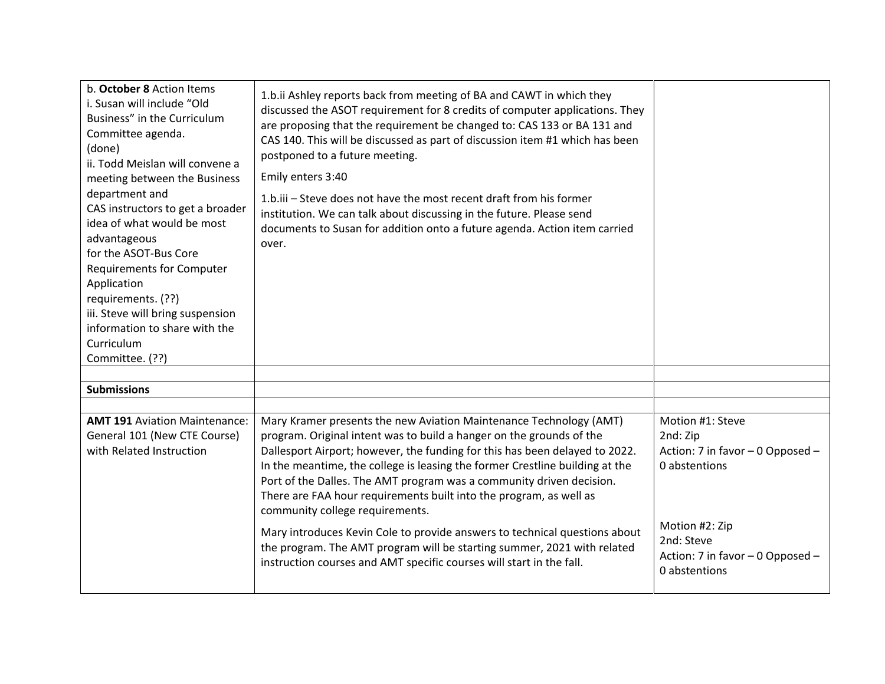| b. October 8 Action Items<br>i. Susan will include "Old<br>Business" in the Curriculum<br>Committee agenda.<br>(done)<br>ii. Todd Meislan will convene a<br>meeting between the Business<br>department and<br>CAS instructors to get a broader<br>idea of what would be most<br>advantageous<br>for the ASOT-Bus Core<br><b>Requirements for Computer</b><br>Application<br>requirements. (??)<br>iii. Steve will bring suspension<br>information to share with the<br>Curriculum<br>Committee. (??) | 1.b.ii Ashley reports back from meeting of BA and CAWT in which they<br>discussed the ASOT requirement for 8 credits of computer applications. They<br>are proposing that the requirement be changed to: CAS 133 or BA 131 and<br>CAS 140. This will be discussed as part of discussion item #1 which has been<br>postponed to a future meeting.<br>Emily enters 3:40<br>1.b.iii – Steve does not have the most recent draft from his former<br>institution. We can talk about discussing in the future. Please send<br>documents to Susan for addition onto a future agenda. Action item carried<br>over.                                                                                                                  |                                                                                                                                                                        |
|------------------------------------------------------------------------------------------------------------------------------------------------------------------------------------------------------------------------------------------------------------------------------------------------------------------------------------------------------------------------------------------------------------------------------------------------------------------------------------------------------|-----------------------------------------------------------------------------------------------------------------------------------------------------------------------------------------------------------------------------------------------------------------------------------------------------------------------------------------------------------------------------------------------------------------------------------------------------------------------------------------------------------------------------------------------------------------------------------------------------------------------------------------------------------------------------------------------------------------------------|------------------------------------------------------------------------------------------------------------------------------------------------------------------------|
| <b>Submissions</b>                                                                                                                                                                                                                                                                                                                                                                                                                                                                                   |                                                                                                                                                                                                                                                                                                                                                                                                                                                                                                                                                                                                                                                                                                                             |                                                                                                                                                                        |
|                                                                                                                                                                                                                                                                                                                                                                                                                                                                                                      |                                                                                                                                                                                                                                                                                                                                                                                                                                                                                                                                                                                                                                                                                                                             |                                                                                                                                                                        |
| <b>AMT 191 Aviation Maintenance:</b><br>General 101 (New CTE Course)<br>with Related Instruction                                                                                                                                                                                                                                                                                                                                                                                                     | Mary Kramer presents the new Aviation Maintenance Technology (AMT)<br>program. Original intent was to build a hanger on the grounds of the<br>Dallesport Airport; however, the funding for this has been delayed to 2022.<br>In the meantime, the college is leasing the former Crestline building at the<br>Port of the Dalles. The AMT program was a community driven decision.<br>There are FAA hour requirements built into the program, as well as<br>community college requirements.<br>Mary introduces Kevin Cole to provide answers to technical questions about<br>the program. The AMT program will be starting summer, 2021 with related<br>instruction courses and AMT specific courses will start in the fall. | Motion #1: Steve<br>2nd: Zip<br>Action: 7 in favor - 0 Opposed -<br>0 abstentions<br>Motion #2: Zip<br>2nd: Steve<br>Action: 7 in favor - 0 Opposed -<br>0 abstentions |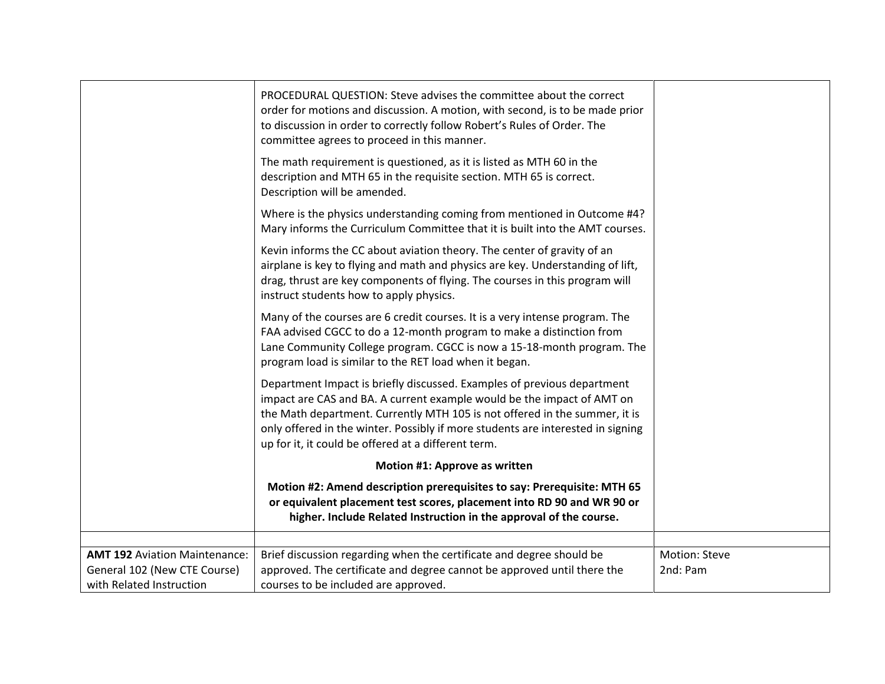|                                                                                                  | PROCEDURAL QUESTION: Steve advises the committee about the correct<br>order for motions and discussion. A motion, with second, is to be made prior<br>to discussion in order to correctly follow Robert's Rules of Order. The<br>committee agrees to proceed in this manner.<br>The math requirement is questioned, as it is listed as MTH 60 in the                      |                           |
|--------------------------------------------------------------------------------------------------|---------------------------------------------------------------------------------------------------------------------------------------------------------------------------------------------------------------------------------------------------------------------------------------------------------------------------------------------------------------------------|---------------------------|
|                                                                                                  | description and MTH 65 in the requisite section. MTH 65 is correct.<br>Description will be amended.                                                                                                                                                                                                                                                                       |                           |
|                                                                                                  | Where is the physics understanding coming from mentioned in Outcome #4?<br>Mary informs the Curriculum Committee that it is built into the AMT courses.                                                                                                                                                                                                                   |                           |
|                                                                                                  | Kevin informs the CC about aviation theory. The center of gravity of an<br>airplane is key to flying and math and physics are key. Understanding of lift,<br>drag, thrust are key components of flying. The courses in this program will<br>instruct students how to apply physics.                                                                                       |                           |
|                                                                                                  | Many of the courses are 6 credit courses. It is a very intense program. The<br>FAA advised CGCC to do a 12-month program to make a distinction from<br>Lane Community College program. CGCC is now a 15-18-month program. The<br>program load is similar to the RET load when it began.                                                                                   |                           |
|                                                                                                  | Department Impact is briefly discussed. Examples of previous department<br>impact are CAS and BA. A current example would be the impact of AMT on<br>the Math department. Currently MTH 105 is not offered in the summer, it is<br>only offered in the winter. Possibly if more students are interested in signing<br>up for it, it could be offered at a different term. |                           |
|                                                                                                  | Motion #1: Approve as written                                                                                                                                                                                                                                                                                                                                             |                           |
|                                                                                                  | Motion #2: Amend description prerequisites to say: Prerequisite: MTH 65<br>or equivalent placement test scores, placement into RD 90 and WR 90 or<br>higher. Include Related Instruction in the approval of the course.                                                                                                                                                   |                           |
| <b>AMT 192 Aviation Maintenance:</b><br>General 102 (New CTE Course)<br>with Related Instruction | Brief discussion regarding when the certificate and degree should be<br>approved. The certificate and degree cannot be approved until there the<br>courses to be included are approved.                                                                                                                                                                                   | Motion: Steve<br>2nd: Pam |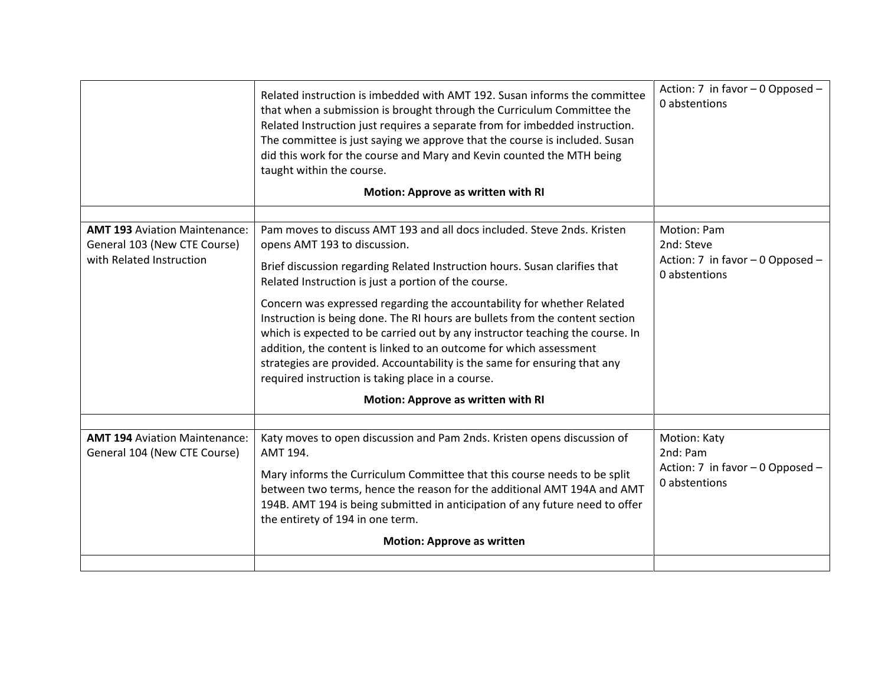|                                                                                                  | Related instruction is imbedded with AMT 192. Susan informs the committee<br>that when a submission is brought through the Curriculum Committee the<br>Related Instruction just requires a separate from for imbedded instruction.<br>The committee is just saying we approve that the course is included. Susan<br>did this work for the course and Mary and Kevin counted the MTH being<br>taught within the course.<br>Motion: Approve as written with RI                                                                                                                                                                                                                                                                           | Action: 7 in favor - 0 Opposed -<br>0 abstentions                              |
|--------------------------------------------------------------------------------------------------|----------------------------------------------------------------------------------------------------------------------------------------------------------------------------------------------------------------------------------------------------------------------------------------------------------------------------------------------------------------------------------------------------------------------------------------------------------------------------------------------------------------------------------------------------------------------------------------------------------------------------------------------------------------------------------------------------------------------------------------|--------------------------------------------------------------------------------|
| <b>AMT 193 Aviation Maintenance:</b><br>General 103 (New CTE Course)<br>with Related Instruction | Pam moves to discuss AMT 193 and all docs included. Steve 2nds. Kristen<br>opens AMT 193 to discussion.<br>Brief discussion regarding Related Instruction hours. Susan clarifies that<br>Related Instruction is just a portion of the course.<br>Concern was expressed regarding the accountability for whether Related<br>Instruction is being done. The RI hours are bullets from the content section<br>which is expected to be carried out by any instructor teaching the course. In<br>addition, the content is linked to an outcome for which assessment<br>strategies are provided. Accountability is the same for ensuring that any<br>required instruction is taking place in a course.<br>Motion: Approve as written with RI | Motion: Pam<br>2nd: Steve<br>Action: 7 in favor - 0 Opposed -<br>0 abstentions |
|                                                                                                  |                                                                                                                                                                                                                                                                                                                                                                                                                                                                                                                                                                                                                                                                                                                                        |                                                                                |
| <b>AMT 194 Aviation Maintenance:</b><br>General 104 (New CTE Course)                             | Katy moves to open discussion and Pam 2nds. Kristen opens discussion of<br>AMT 194.<br>Mary informs the Curriculum Committee that this course needs to be split<br>between two terms, hence the reason for the additional AMT 194A and AMT<br>194B. AMT 194 is being submitted in anticipation of any future need to offer<br>the entirety of 194 in one term.<br><b>Motion: Approve as written</b>                                                                                                                                                                                                                                                                                                                                    | Motion: Katy<br>2nd: Pam<br>Action: 7 in favor - 0 Opposed -<br>0 abstentions  |
|                                                                                                  |                                                                                                                                                                                                                                                                                                                                                                                                                                                                                                                                                                                                                                                                                                                                        |                                                                                |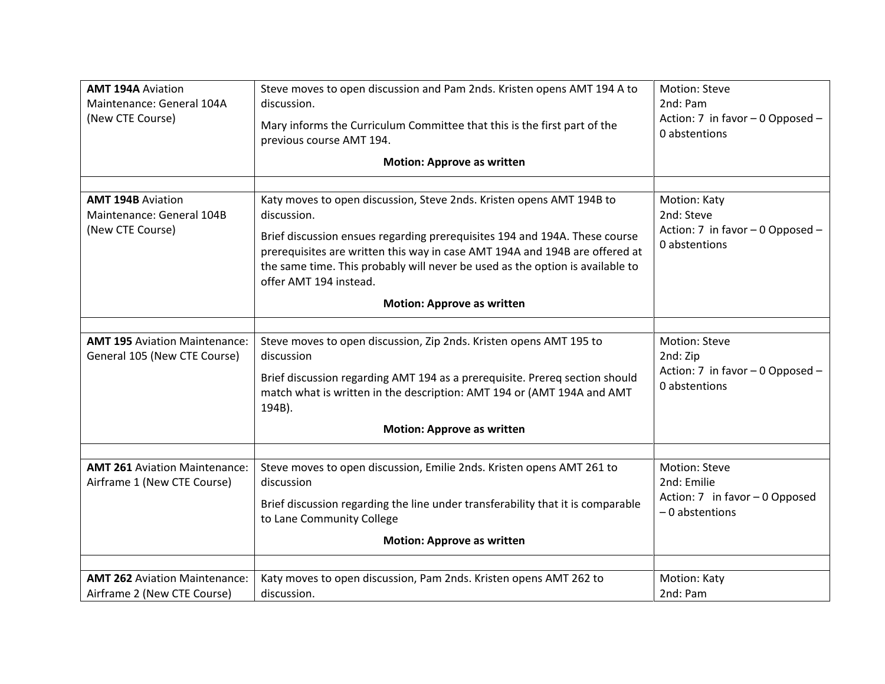| <b>AMT 194A Aviation</b><br>Maintenance: General 104A<br>(New CTE Course) | Steve moves to open discussion and Pam 2nds. Kristen opens AMT 194 A to<br>discussion.<br>Mary informs the Curriculum Committee that this is the first part of the<br>previous course AMT 194.<br><b>Motion: Approve as written</b>                                                                                                                                                              | Motion: Steve<br>2nd: Pam<br>Action: 7 in favor - 0 Opposed -<br>0 abstentions            |
|---------------------------------------------------------------------------|--------------------------------------------------------------------------------------------------------------------------------------------------------------------------------------------------------------------------------------------------------------------------------------------------------------------------------------------------------------------------------------------------|-------------------------------------------------------------------------------------------|
| <b>AMT 194B Aviation</b><br>Maintenance: General 104B<br>(New CTE Course) | Katy moves to open discussion, Steve 2nds. Kristen opens AMT 194B to<br>discussion.<br>Brief discussion ensues regarding prerequisites 194 and 194A. These course<br>prerequisites are written this way in case AMT 194A and 194B are offered at<br>the same time. This probably will never be used as the option is available to<br>offer AMT 194 instead.<br><b>Motion: Approve as written</b> | Motion: Katy<br>2nd: Steve<br>Action: 7 in favor - 0 Opposed -<br>0 abstentions           |
|                                                                           |                                                                                                                                                                                                                                                                                                                                                                                                  |                                                                                           |
| <b>AMT 195 Aviation Maintenance:</b><br>General 105 (New CTE Course)      | Steve moves to open discussion, Zip 2nds. Kristen opens AMT 195 to<br>discussion<br>Brief discussion regarding AMT 194 as a prerequisite. Prereq section should<br>match what is written in the description: AMT 194 or (AMT 194A and AMT<br>194B).<br><b>Motion: Approve as written</b>                                                                                                         | Motion: Steve<br>2nd: Zip<br>Action: 7 in favor - 0 Opposed -<br>0 abstentions            |
|                                                                           |                                                                                                                                                                                                                                                                                                                                                                                                  |                                                                                           |
| <b>AMT 261 Aviation Maintenance:</b><br>Airframe 1 (New CTE Course)       | Steve moves to open discussion, Emilie 2nds. Kristen opens AMT 261 to<br>discussion<br>Brief discussion regarding the line under transferability that it is comparable<br>to Lane Community College<br><b>Motion: Approve as written</b>                                                                                                                                                         | <b>Motion: Steve</b><br>2nd: Emilie<br>Action: 7 in favor - 0 Opposed<br>$-0$ abstentions |
|                                                                           |                                                                                                                                                                                                                                                                                                                                                                                                  |                                                                                           |
| <b>AMT 262 Aviation Maintenance:</b><br>Airframe 2 (New CTE Course)       | Katy moves to open discussion, Pam 2nds. Kristen opens AMT 262 to<br>discussion.                                                                                                                                                                                                                                                                                                                 | Motion: Katy<br>2nd: Pam                                                                  |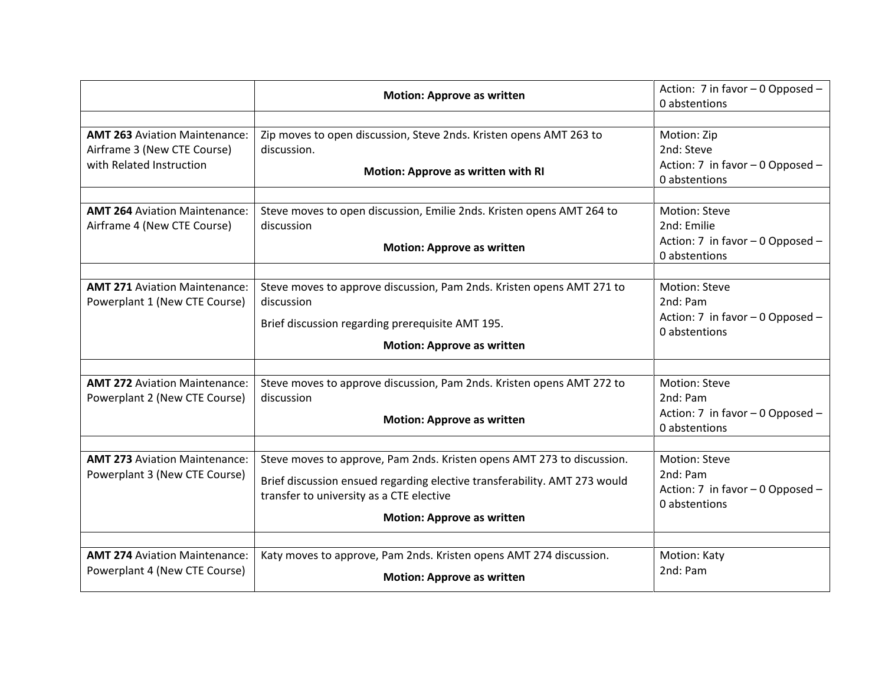|                                                                                                 | <b>Motion: Approve as written</b>                                                                                                                                                                                                    | Action: 7 in favor - 0 Opposed -<br>0 abstentions                                     |
|-------------------------------------------------------------------------------------------------|--------------------------------------------------------------------------------------------------------------------------------------------------------------------------------------------------------------------------------------|---------------------------------------------------------------------------------------|
| <b>AMT 263 Aviation Maintenance:</b><br>Airframe 3 (New CTE Course)<br>with Related Instruction | Zip moves to open discussion, Steve 2nds. Kristen opens AMT 263 to<br>discussion.<br>Motion: Approve as written with RI                                                                                                              | Motion: Zip<br>2nd: Steve<br>Action: 7 in favor - 0 Opposed -<br>0 abstentions        |
| <b>AMT 264 Aviation Maintenance:</b><br>Airframe 4 (New CTE Course)                             | Steve moves to open discussion, Emilie 2nds. Kristen opens AMT 264 to<br>discussion<br><b>Motion: Approve as written</b>                                                                                                             | Motion: Steve<br>2nd: Emilie<br>Action: 7 in favor - 0 Opposed -<br>0 abstentions     |
| <b>AMT 271 Aviation Maintenance:</b><br>Powerplant 1 (New CTE Course)                           | Steve moves to approve discussion, Pam 2nds. Kristen opens AMT 271 to<br>discussion<br>Brief discussion regarding prerequisite AMT 195.<br><b>Motion: Approve as written</b>                                                         | Motion: Steve<br>2nd: Pam<br>Action: 7 in favor - 0 Opposed -<br>0 abstentions        |
| <b>AMT 272 Aviation Maintenance:</b><br>Powerplant 2 (New CTE Course)                           | Steve moves to approve discussion, Pam 2nds. Kristen opens AMT 272 to<br>discussion<br><b>Motion: Approve as written</b>                                                                                                             | Motion: Steve<br>2nd: Pam<br>Action: 7 in favor - 0 Opposed -<br>0 abstentions        |
| <b>AMT 273 Aviation Maintenance:</b><br>Powerplant 3 (New CTE Course)                           | Steve moves to approve, Pam 2nds. Kristen opens AMT 273 to discussion.<br>Brief discussion ensued regarding elective transferability. AMT 273 would<br>transfer to university as a CTE elective<br><b>Motion: Approve as written</b> | <b>Motion: Steve</b><br>2nd: Pam<br>Action: 7 in favor - 0 Opposed -<br>0 abstentions |
| <b>AMT 274 Aviation Maintenance:</b><br>Powerplant 4 (New CTE Course)                           | Katy moves to approve, Pam 2nds. Kristen opens AMT 274 discussion.<br><b>Motion: Approve as written</b>                                                                                                                              | Motion: Katy<br>2nd: Pam                                                              |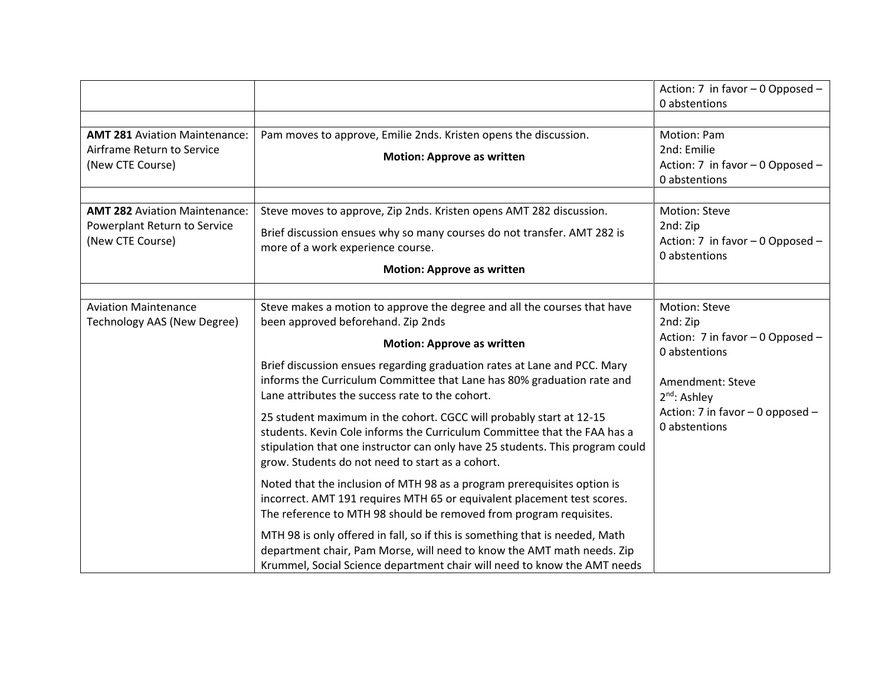|                                                                                          |                                                                                                                                                                                                                                                                                                                                                                                                                                                                                                                                                                                                                                                                                                                                                                                                                                                                                                                                                                                                                                            | Action: 7 in favor $-0$ Opposed $-$<br>0 abstentions                                                                                                                                |
|------------------------------------------------------------------------------------------|--------------------------------------------------------------------------------------------------------------------------------------------------------------------------------------------------------------------------------------------------------------------------------------------------------------------------------------------------------------------------------------------------------------------------------------------------------------------------------------------------------------------------------------------------------------------------------------------------------------------------------------------------------------------------------------------------------------------------------------------------------------------------------------------------------------------------------------------------------------------------------------------------------------------------------------------------------------------------------------------------------------------------------------------|-------------------------------------------------------------------------------------------------------------------------------------------------------------------------------------|
| <b>AMT 281 Aviation Maintenance:</b><br>Airframe Return to Service<br>(New CTE Course)   | Pam moves to approve, Emilie 2nds. Kristen opens the discussion.<br><b>Motion: Approve as written</b>                                                                                                                                                                                                                                                                                                                                                                                                                                                                                                                                                                                                                                                                                                                                                                                                                                                                                                                                      | Motion: Pam<br>2nd: Emilie<br>Action: 7 in favor - 0 Opposed -<br>0 abstentions                                                                                                     |
| <b>AMT 282 Aviation Maintenance:</b><br>Powerplant Return to Service<br>(New CTE Course) | Steve moves to approve, Zip 2nds. Kristen opens AMT 282 discussion.<br>Brief discussion ensues why so many courses do not transfer. AMT 282 is<br>more of a work experience course.<br><b>Motion: Approve as written</b>                                                                                                                                                                                                                                                                                                                                                                                                                                                                                                                                                                                                                                                                                                                                                                                                                   | Motion: Steve<br>2nd: Zip<br>Action: 7 in favor - 0 Opposed -<br>0 abstentions                                                                                                      |
| <b>Aviation Maintenance</b><br>Technology AAS (New Degree)                               | Steve makes a motion to approve the degree and all the courses that have<br>been approved beforehand. Zip 2nds<br><b>Motion: Approve as written</b><br>Brief discussion ensues regarding graduation rates at Lane and PCC. Mary<br>informs the Curriculum Committee that Lane has 80% graduation rate and<br>Lane attributes the success rate to the cohort.<br>25 student maximum in the cohort. CGCC will probably start at 12-15<br>students. Kevin Cole informs the Curriculum Committee that the FAA has a<br>stipulation that one instructor can only have 25 students. This program could<br>grow. Students do not need to start as a cohort.<br>Noted that the inclusion of MTH 98 as a program prerequisites option is<br>incorrect. AMT 191 requires MTH 65 or equivalent placement test scores.<br>The reference to MTH 98 should be removed from program requisites.<br>MTH 98 is only offered in fall, so if this is something that is needed, Math<br>department chair, Pam Morse, will need to know the AMT math needs. Zip | Motion: Steve<br>2nd: Zip<br>Action: 7 in favor - 0 Opposed -<br>0 abstentions<br>Amendment: Steve<br>2 <sup>nd</sup> : Ashley<br>Action: 7 in favor - 0 opposed -<br>0 abstentions |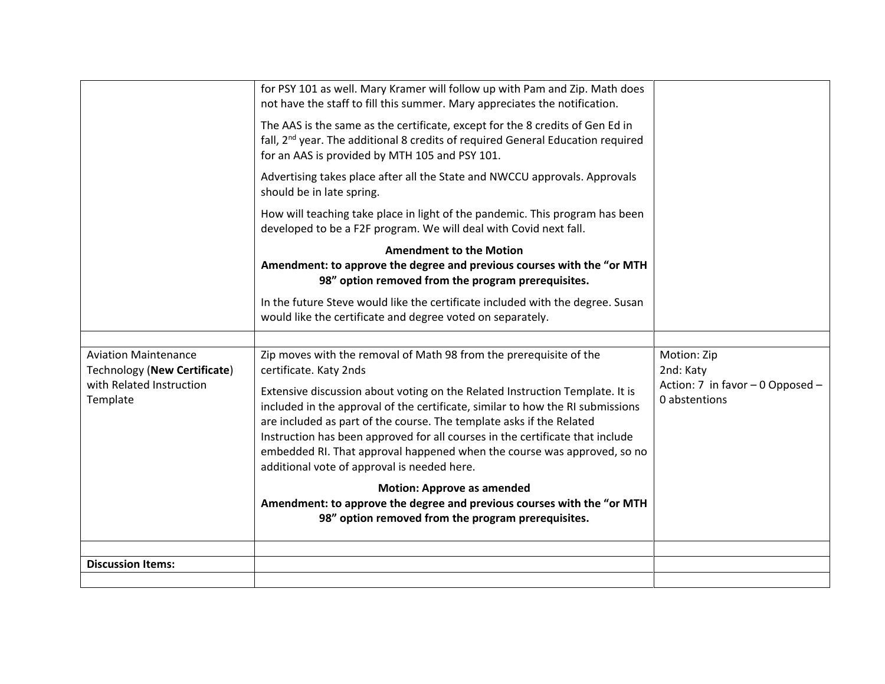|                                                                                                     | for PSY 101 as well. Mary Kramer will follow up with Pam and Zip. Math does<br>not have the staff to fill this summer. Mary appreciates the notification.                                                                                                                                                                                                                                                                                                                                                                                         |                                                                               |
|-----------------------------------------------------------------------------------------------------|---------------------------------------------------------------------------------------------------------------------------------------------------------------------------------------------------------------------------------------------------------------------------------------------------------------------------------------------------------------------------------------------------------------------------------------------------------------------------------------------------------------------------------------------------|-------------------------------------------------------------------------------|
|                                                                                                     | The AAS is the same as the certificate, except for the 8 credits of Gen Ed in<br>fall, 2 <sup>nd</sup> year. The additional 8 credits of required General Education required<br>for an AAS is provided by MTH 105 and PSY 101.                                                                                                                                                                                                                                                                                                                    |                                                                               |
|                                                                                                     | Advertising takes place after all the State and NWCCU approvals. Approvals<br>should be in late spring.                                                                                                                                                                                                                                                                                                                                                                                                                                           |                                                                               |
|                                                                                                     | How will teaching take place in light of the pandemic. This program has been<br>developed to be a F2F program. We will deal with Covid next fall.                                                                                                                                                                                                                                                                                                                                                                                                 |                                                                               |
|                                                                                                     | <b>Amendment to the Motion</b><br>Amendment: to approve the degree and previous courses with the "or MTH<br>98" option removed from the program prerequisites.                                                                                                                                                                                                                                                                                                                                                                                    |                                                                               |
|                                                                                                     | In the future Steve would like the certificate included with the degree. Susan<br>would like the certificate and degree voted on separately.                                                                                                                                                                                                                                                                                                                                                                                                      |                                                                               |
|                                                                                                     |                                                                                                                                                                                                                                                                                                                                                                                                                                                                                                                                                   |                                                                               |
| <b>Aviation Maintenance</b><br>Technology (New Certificate)<br>with Related Instruction<br>Template | Zip moves with the removal of Math 98 from the prerequisite of the<br>certificate. Katy 2nds<br>Extensive discussion about voting on the Related Instruction Template. It is<br>included in the approval of the certificate, similar to how the RI submissions<br>are included as part of the course. The template asks if the Related<br>Instruction has been approved for all courses in the certificate that include<br>embedded RI. That approval happened when the course was approved, so no<br>additional vote of approval is needed here. | Motion: Zip<br>2nd: Katy<br>Action: 7 in favor - 0 Opposed -<br>0 abstentions |
|                                                                                                     | <b>Motion: Approve as amended</b><br>Amendment: to approve the degree and previous courses with the "or MTH<br>98" option removed from the program prerequisites.                                                                                                                                                                                                                                                                                                                                                                                 |                                                                               |
|                                                                                                     |                                                                                                                                                                                                                                                                                                                                                                                                                                                                                                                                                   |                                                                               |
| <b>Discussion Items:</b>                                                                            |                                                                                                                                                                                                                                                                                                                                                                                                                                                                                                                                                   |                                                                               |
|                                                                                                     |                                                                                                                                                                                                                                                                                                                                                                                                                                                                                                                                                   |                                                                               |